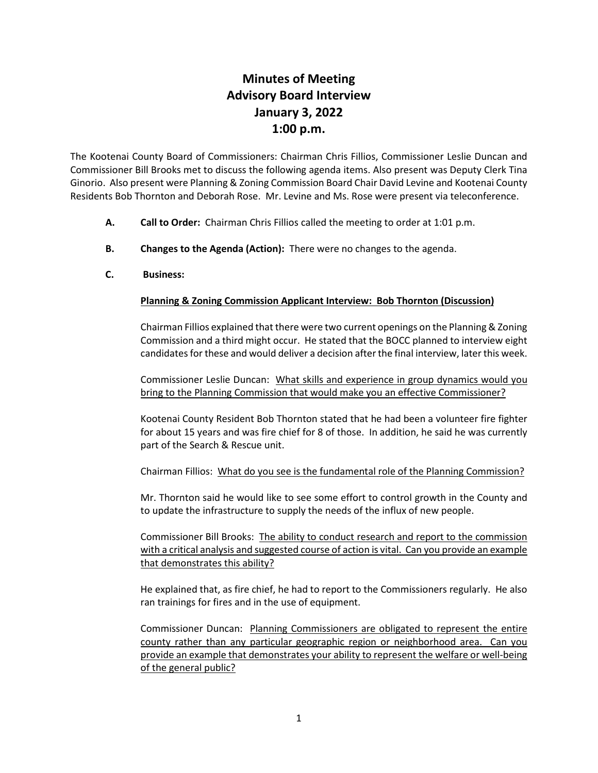# **Minutes of Meeting Advisory Board Interview January 3, 2022 1:00 p.m.**

The Kootenai County Board of Commissioners: Chairman Chris Fillios, Commissioner Leslie Duncan and Commissioner Bill Brooks met to discuss the following agenda items. Also present was Deputy Clerk Tina Ginorio. Also present were Planning & Zoning Commission Board Chair David Levine and Kootenai County Residents Bob Thornton and Deborah Rose. Mr. Levine and Ms. Rose were present via teleconference.

- **A. Call to Order:** Chairman Chris Fillios called the meeting to order at 1:01 p.m.
- **B. Changes to the Agenda (Action):** There were no changes to the agenda.
- **C. Business:**

## **Planning & Zoning Commission Applicant Interview: Bob Thornton (Discussion)**

Chairman Fillios explained that there were two current openings on the Planning & Zoning Commission and a third might occur. He stated that the BOCC planned to interview eight candidates for these and would deliver a decision after the final interview, later this week.

Commissioner Leslie Duncan: What skills and experience in group dynamics would you bring to the Planning Commission that would make you an effective Commissioner?

Kootenai County Resident Bob Thornton stated that he had been a volunteer fire fighter for about 15 years and was fire chief for 8 of those. In addition, he said he was currently part of the Search & Rescue unit.

Chairman Fillios: What do you see is the fundamental role of the Planning Commission?

Mr. Thornton said he would like to see some effort to control growth in the County and to update the infrastructure to supply the needs of the influx of new people.

Commissioner Bill Brooks: The ability to conduct research and report to the commission with a critical analysis and suggested course of action is vital. Can you provide an example that demonstrates this ability?

He explained that, as fire chief, he had to report to the Commissioners regularly. He also ran trainings for fires and in the use of equipment.

Commissioner Duncan: Planning Commissioners are obligated to represent the entire county rather than any particular geographic region or neighborhood area. Can you provide an example that demonstrates your ability to represent the welfare or well-being of the general public?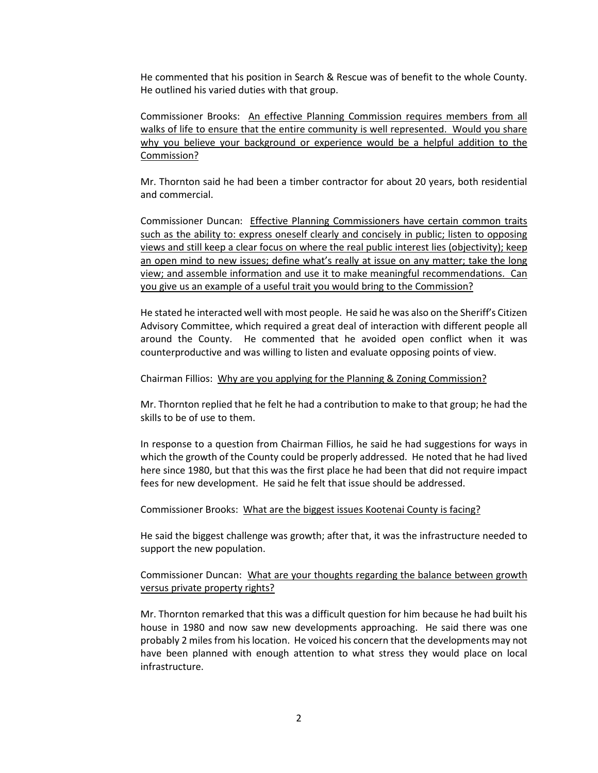He commented that his position in Search & Rescue was of benefit to the whole County. He outlined his varied duties with that group.

Commissioner Brooks: An effective Planning Commission requires members from all walks of life to ensure that the entire community is well represented. Would you share why you believe your background or experience would be a helpful addition to the Commission?

Mr. Thornton said he had been a timber contractor for about 20 years, both residential and commercial.

Commissioner Duncan: Effective Planning Commissioners have certain common traits such as the ability to: express oneself clearly and concisely in public; listen to opposing views and still keep a clear focus on where the real public interest lies (objectivity); keep an open mind to new issues; define what's really at issue on any matter; take the long view; and assemble information and use it to make meaningful recommendations. Can you give us an example of a useful trait you would bring to the Commission?

He stated he interacted well with most people. He said he was also on the Sheriff's Citizen Advisory Committee, which required a great deal of interaction with different people all around the County. He commented that he avoided open conflict when it was counterproductive and was willing to listen and evaluate opposing points of view.

#### Chairman Fillios: Why are you applying for the Planning & Zoning Commission?

Mr. Thornton replied that he felt he had a contribution to make to that group; he had the skills to be of use to them.

In response to a question from Chairman Fillios, he said he had suggestions for ways in which the growth of the County could be properly addressed. He noted that he had lived here since 1980, but that this was the first place he had been that did not require impact fees for new development. He said he felt that issue should be addressed.

### Commissioner Brooks: What are the biggest issues Kootenai County is facing?

He said the biggest challenge was growth; after that, it was the infrastructure needed to support the new population.

## Commissioner Duncan: What are your thoughts regarding the balance between growth versus private property rights?

Mr. Thornton remarked that this was a difficult question for him because he had built his house in 1980 and now saw new developments approaching. He said there was one probably 2 miles from his location. He voiced his concern that the developments may not have been planned with enough attention to what stress they would place on local infrastructure.